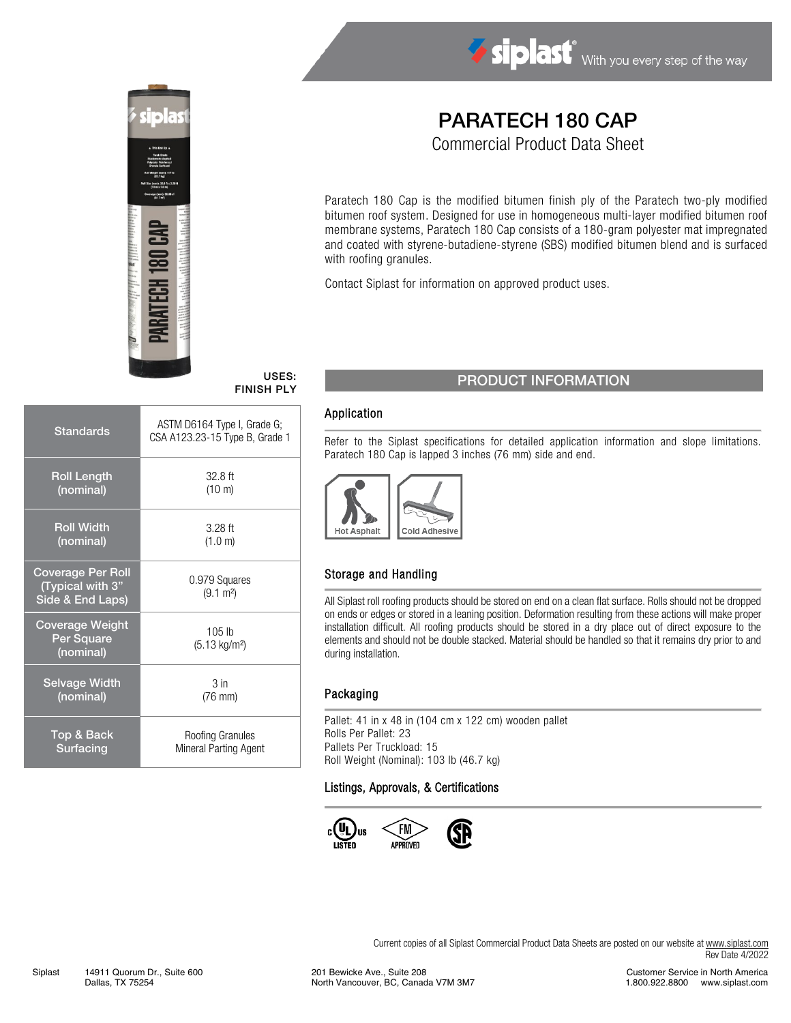



# PARATECH 180 CAP

Commercial Product Data Sheet

Paratech 180 Cap is the modified bitumen finish ply of the Paratech two-ply modified bitumen roof system. Designed for use in homogeneous multi-layer modified bitumen roof membrane systems, Paratech 180 Cap consists of a 180-gram polyester mat impregnated and coated with styrene-butadiene-styrene (SBS) modified bitumen blend and is surfaced with roofing granules.

Contact Siplast for information on approved product uses.

## FINISH PLY

| <b>Standards</b>                                                 | ASTM D6164 Type I, Grade G;<br>CSA A123.23-15 Type B, Grade 1 |  |  |
|------------------------------------------------------------------|---------------------------------------------------------------|--|--|
| <b>Roll Length</b>                                               | $32.8$ ft                                                     |  |  |
| (nominal)                                                        | $(10 \text{ m})$                                              |  |  |
| <b>Roll Width</b>                                                | $3.28$ ft                                                     |  |  |
| (nominal)                                                        | (1.0 m)                                                       |  |  |
| <b>Coverage Per Roll</b><br>(Typical with 3"<br>Side & End Laps) | 0.979 Squares<br>$(9.1 \text{ m}^2)$                          |  |  |
| <b>Coverage Weight</b><br>Per Square<br>(nominal)                | $105$ lb<br>(5.13 kg/m <sup>2</sup> )                         |  |  |
| <b>Selvage Width</b>                                             | 3 <sub>in</sub>                                               |  |  |
| (nominal)                                                        | $(76$ mm $)$                                                  |  |  |
| <b>Top &amp; Back</b>                                            | Roofing Granules                                              |  |  |
| Surfacing                                                        | Mineral Parting Agent                                         |  |  |

## USES: PRODUCT INFORMATION

#### Application

Refer to the Siplast specifications for detailed application information and slope limitations. Paratech 180 Cap is lapped 3 inches (76 mm) side and end.



#### Storage and Handling

All Siplast roll roofing products should be stored on end on a clean flat surface. Rolls should not be dropped on ends or edges or stored in a leaning position. Deformation resulting from these actions will make proper installation difficult. All roofing products should be stored in a dry place out of direct exposure to the elements and should not be double stacked. Material should be handled so that it remains dry prior to and during installation.

#### Packaging

Pallet: 41 in x 48 in (104 cm x 122 cm) wooden pallet Rolls Per Pallet: 23 Pallets Per Truckload: 15 Roll Weight (Nominal): 103 lb (46.7 kg)

#### Listings, Approvals, & Certifications



Current copies of all Siplast Commercial Product Data Sheets are posted on our website at [www.siplast.com](http://www.siplast.com/) Rev Date 4/2022